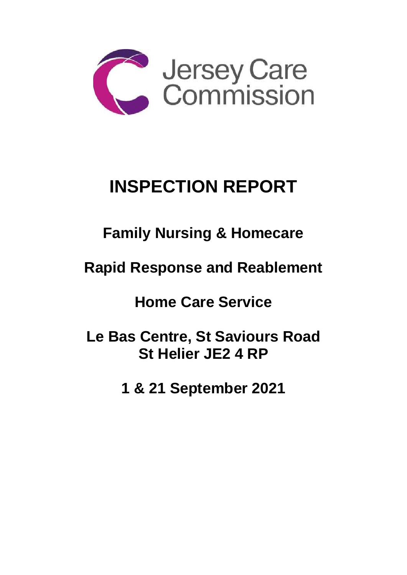

# **INSPECTION REPORT**

## **Family Nursing & Homecare**

## **Rapid Response and Reablement**

## **Home Care Service**

**Le Bas Centre, St Saviours Road St Helier JE2 4 RP**

**1 & 21 September 2021**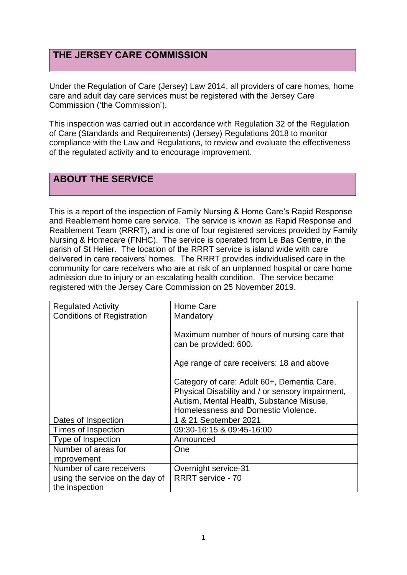## **THE JERSEY CARE COMMISSION**

Under the Regulation of Care (Jersey) Law 2014, all providers of care homes, home care and adult day care services must be registered with the Jersey Care Commission ('the Commission').

This inspection was carried out in accordance with Regulation 32 of the Regulation of Care (Standards and Requirements) (Jersey) Regulations 2018 to monitor compliance with the Law and Regulations, to review and evaluate the effectiveness of the regulated activity and to encourage improvement.

## **ABOUT THE SERVICE**

This is a report of the inspection of Family Nursing & Home Care's Rapid Response and Reablement home care service. The service is known as Rapid Response and Reablement Team (RRRT), and is one of four registered services provided by Family Nursing & Homecare (FNHC). The service is operated from Le Bas Centre, in the parish of St Helier. The location of the RRRT service is island wide with care delivered in care receivers' homes. The RRRT provides individualised care in the community for care receivers who are at risk of an unplanned hospital or care home admission due to injury or an escalating health condition. The service became registered with the Jersey Care Commission on 25 November 2019.

| <b>Regulated Activity</b>         | Home Care                                        |
|-----------------------------------|--------------------------------------------------|
| <b>Conditions of Registration</b> | Mandatory                                        |
|                                   |                                                  |
|                                   | Maximum number of hours of nursing care that     |
|                                   | can be provided: 600.                            |
|                                   |                                                  |
|                                   | Age range of care receivers: 18 and above        |
|                                   | Category of care: Adult 60+, Dementia Care,      |
|                                   | Physical Disability and / or sensory impairment, |
|                                   | Autism, Mental Health, Substance Misuse,         |
|                                   | Homelessness and Domestic Violence.              |
| Dates of Inspection               | 1 & 21 September 2021                            |
| Times of Inspection               | 09:30-16:15 & 09:45-16:00                        |
| Type of Inspection                | Announced                                        |
| Number of areas for               | One                                              |
| improvement                       |                                                  |
| Number of care receivers          | Overnight service-31                             |
| using the service on the day of   | <b>RRRT</b> service - 70                         |
| the inspection                    |                                                  |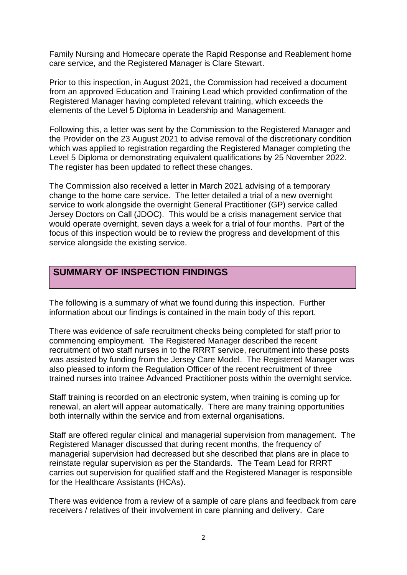Family Nursing and Homecare operate the Rapid Response and Reablement home care service, and the Registered Manager is Clare Stewart.

Prior to this inspection, in August 2021, the Commission had received a document from an approved Education and Training Lead which provided confirmation of the Registered Manager having completed relevant training, which exceeds the elements of the Level 5 Diploma in Leadership and Management.

Following this, a letter was sent by the Commission to the Registered Manager and the Provider on the 23 August 2021 to advise removal of the discretionary condition which was applied to registration regarding the Registered Manager completing the Level 5 Diploma or demonstrating equivalent qualifications by 25 November 2022. The register has been updated to reflect these changes.

The Commission also received a letter in March 2021 advising of a temporary change to the home care service. The letter detailed a trial of a new overnight service to work alongside the overnight General Practitioner (GP) service called Jersey Doctors on Call (JDOC). This would be a crisis management service that would operate overnight, seven days a week for a trial of four months. Part of the focus of this inspection would be to review the progress and development of this service alongside the existing service.

## **SUMMARY OF INSPECTION FINDINGS**

The following is a summary of what we found during this inspection. Further information about our findings is contained in the main body of this report.

There was evidence of safe recruitment checks being completed for staff prior to commencing employment. The Registered Manager described the recent recruitment of two staff nurses in to the RRRT service, recruitment into these posts was assisted by funding from the Jersey Care Model. The Registered Manager was also pleased to inform the Regulation Officer of the recent recruitment of three trained nurses into trainee Advanced Practitioner posts within the overnight service.

Staff training is recorded on an electronic system, when training is coming up for renewal, an alert will appear automatically. There are many training opportunities both internally within the service and from external organisations.

Staff are offered regular clinical and managerial supervision from management. The Registered Manager discussed that during recent months, the frequency of managerial supervision had decreased but she described that plans are in place to reinstate regular supervision as per the Standards. The Team Lead for RRRT carries out supervision for qualified staff and the Registered Manager is responsible for the Healthcare Assistants (HCAs).

There was evidence from a review of a sample of care plans and feedback from care receivers / relatives of their involvement in care planning and delivery. Care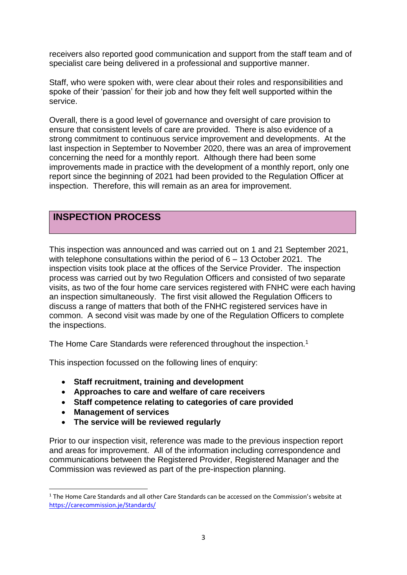receivers also reported good communication and support from the staff team and of specialist care being delivered in a professional and supportive manner.

Staff, who were spoken with, were clear about their roles and responsibilities and spoke of their 'passion' for their job and how they felt well supported within the service.

Overall, there is a good level of governance and oversight of care provision to ensure that consistent levels of care are provided. There is also evidence of a strong commitment to continuous service improvement and developments. At the last inspection in September to November 2020, there was an area of improvement concerning the need for a monthly report. Although there had been some improvements made in practice with the development of a monthly report, only one report since the beginning of 2021 had been provided to the Regulation Officer at inspection. Therefore, this will remain as an area for improvement.

## **INSPECTION PROCESS**

This inspection was announced and was carried out on 1 and 21 September 2021, with telephone consultations within the period of 6 – 13 October 2021. The inspection visits took place at the offices of the Service Provider. The inspection process was carried out by two Regulation Officers and consisted of two separate visits, as two of the four home care services registered with FNHC were each having an inspection simultaneously. The first visit allowed the Regulation Officers to discuss a range of matters that both of the FNHC registered services have in common. A second visit was made by one of the Regulation Officers to complete the inspections.

The Home Care Standards were referenced throughout the inspection.<sup>1</sup>

This inspection focussed on the following lines of enquiry:

- **Staff recruitment, training and development**
- **Approaches to care and welfare of care receivers**
- **Staff competence relating to categories of care provided**
- **Management of services**
- **The service will be reviewed regularly**

Prior to our inspection visit, reference was made to the previous inspection report and areas for improvement. All of the information including correspondence and communications between the Registered Provider, Registered Manager and the Commission was reviewed as part of the pre-inspection planning.

 $1$  The Home Care Standards and all other Care Standards can be accessed on the Commission's website at [https://carecommission.je/Standards/](https://carecommission.je/standards/)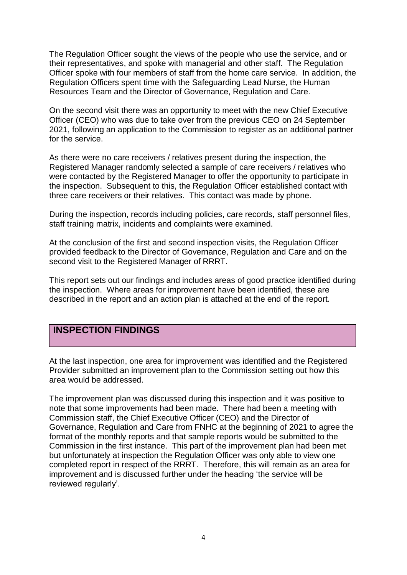The Regulation Officer sought the views of the people who use the service, and or their representatives, and spoke with managerial and other staff. The Regulation Officer spoke with four members of staff from the home care service. In addition, the Regulation Officers spent time with the Safeguarding Lead Nurse, the Human Resources Team and the Director of Governance, Regulation and Care.

On the second visit there was an opportunity to meet with the new Chief Executive Officer (CEO) who was due to take over from the previous CEO on 24 September 2021, following an application to the Commission to register as an additional partner for the service.

As there were no care receivers / relatives present during the inspection, the Registered Manager randomly selected a sample of care receivers / relatives who were contacted by the Registered Manager to offer the opportunity to participate in the inspection. Subsequent to this, the Regulation Officer established contact with three care receivers or their relatives. This contact was made by phone.

During the inspection, records including policies, care records, staff personnel files, staff training matrix, incidents and complaints were examined.

At the conclusion of the first and second inspection visits, the Regulation Officer provided feedback to the Director of Governance, Regulation and Care and on the second visit to the Registered Manager of RRRT.

This report sets out our findings and includes areas of good practice identified during the inspection. Where areas for improvement have been identified, these are described in the report and an action plan is attached at the end of the report.

### **INSPECTION FINDINGS**

At the last inspection, one area for improvement was identified and the Registered Provider submitted an improvement plan to the Commission setting out how this area would be addressed.

The improvement plan was discussed during this inspection and it was positive to note that some improvements had been made. There had been a meeting with Commission staff, the Chief Executive Officer (CEO) and the Director of Governance, Regulation and Care from FNHC at the beginning of 2021 to agree the format of the monthly reports and that sample reports would be submitted to the Commission in the first instance. This part of the improvement plan had been met but unfortunately at inspection the Regulation Officer was only able to view one completed report in respect of the RRRT. Therefore, this will remain as an area for improvement and is discussed further under the heading 'the service will be reviewed regularly'.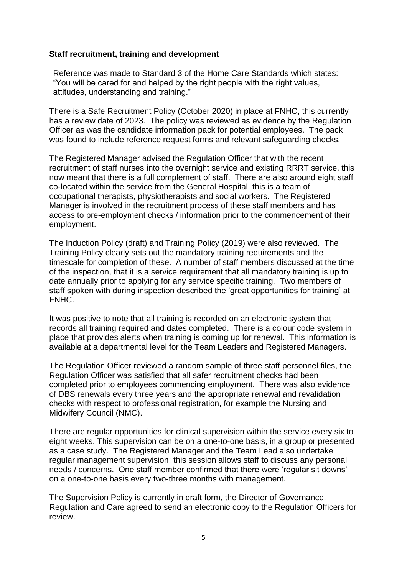### **Staff recruitment, training and development**

Reference was made to Standard 3 of the Home Care Standards which states: "You will be cared for and helped by the right people with the right values, attitudes, understanding and training."

There is a Safe Recruitment Policy (October 2020) in place at FNHC, this currently has a review date of 2023. The policy was reviewed as evidence by the Regulation Officer as was the candidate information pack for potential employees. The pack was found to include reference request forms and relevant safeguarding checks.

The Registered Manager advised the Regulation Officer that with the recent recruitment of staff nurses into the overnight service and existing RRRT service, this now meant that there is a full complement of staff. There are also around eight staff co-located within the service from the General Hospital, this is a team of occupational therapists, physiotherapists and social workers. The Registered Manager is involved in the recruitment process of these staff members and has access to pre-employment checks / information prior to the commencement of their employment.

The Induction Policy (draft) and Training Policy (2019) were also reviewed. The Training Policy clearly sets out the mandatory training requirements and the timescale for completion of these. A number of staff members discussed at the time of the inspection, that it is a service requirement that all mandatory training is up to date annually prior to applying for any service specific training. Two members of staff spoken with during inspection described the 'great opportunities for training' at FNHC.

It was positive to note that all training is recorded on an electronic system that records all training required and dates completed. There is a colour code system in place that provides alerts when training is coming up for renewal. This information is available at a departmental level for the Team Leaders and Registered Managers.

The Regulation Officer reviewed a random sample of three staff personnel files, the Regulation Officer was satisfied that all safer recruitment checks had been completed prior to employees commencing employment. There was also evidence of DBS renewals every three years and the appropriate renewal and revalidation checks with respect to professional registration, for example the Nursing and Midwifery Council (NMC).

There are regular opportunities for clinical supervision within the service every six to eight weeks. This supervision can be on a one-to-one basis, in a group or presented as a case study. The Registered Manager and the Team Lead also undertake regular management supervision; this session allows staff to discuss any personal needs / concerns. One staff member confirmed that there were 'regular sit downs' on a one-to-one basis every two-three months with management.

The Supervision Policy is currently in draft form, the Director of Governance, Regulation and Care agreed to send an electronic copy to the Regulation Officers for review.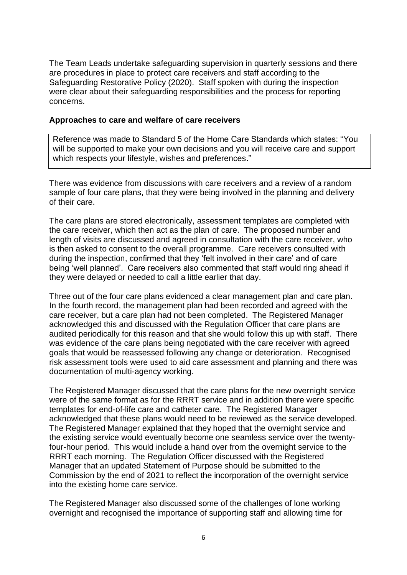The Team Leads undertake safeguarding supervision in quarterly sessions and there are procedures in place to protect care receivers and staff according to the Safeguarding Restorative Policy (2020). Staff spoken with during the inspection were clear about their safeguarding responsibilities and the process for reporting concerns.

#### **Approaches to care and welfare of care receivers**

Reference was made to Standard 5 of the Home Care Standards which states: "You will be supported to make your own decisions and you will receive care and support which respects your lifestyle, wishes and preferences."

There was evidence from discussions with care receivers and a review of a random sample of four care plans, that they were being involved in the planning and delivery of their care.

The care plans are stored electronically, assessment templates are completed with the care receiver, which then act as the plan of care. The proposed number and length of visits are discussed and agreed in consultation with the care receiver, who is then asked to consent to the overall programme. Care receivers consulted with during the inspection, confirmed that they 'felt involved in their care' and of care being 'well planned'. Care receivers also commented that staff would ring ahead if they were delayed or needed to call a little earlier that day.

Three out of the four care plans evidenced a clear management plan and care plan. In the fourth record, the management plan had been recorded and agreed with the care receiver, but a care plan had not been completed. The Registered Manager acknowledged this and discussed with the Regulation Officer that care plans are audited periodically for this reason and that she would follow this up with staff. There was evidence of the care plans being negotiated with the care receiver with agreed goals that would be reassessed following any change or deterioration. Recognised risk assessment tools were used to aid care assessment and planning and there was documentation of multi-agency working.

The Registered Manager discussed that the care plans for the new overnight service were of the same format as for the RRRT service and in addition there were specific templates for end-of-life care and catheter care. The Registered Manager acknowledged that these plans would need to be reviewed as the service developed. The Registered Manager explained that they hoped that the overnight service and the existing service would eventually become one seamless service over the twentyfour-hour period. This would include a hand over from the overnight service to the RRRT each morning. The Regulation Officer discussed with the Registered Manager that an updated Statement of Purpose should be submitted to the Commission by the end of 2021 to reflect the incorporation of the overnight service into the existing home care service.

The Registered Manager also discussed some of the challenges of lone working overnight and recognised the importance of supporting staff and allowing time for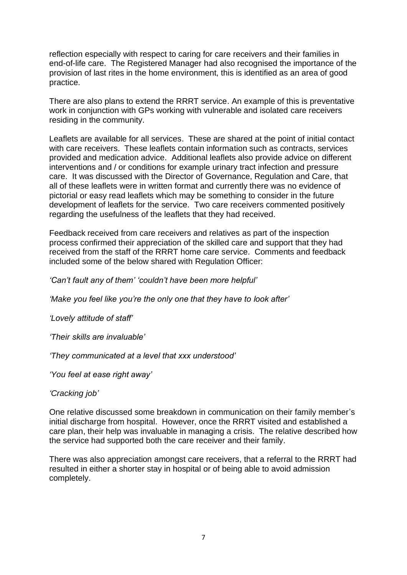reflection especially with respect to caring for care receivers and their families in end-of-life care. The Registered Manager had also recognised the importance of the provision of last rites in the home environment, this is identified as an area of good practice.

There are also plans to extend the RRRT service. An example of this is preventative work in conjunction with GPs working with vulnerable and isolated care receivers residing in the community.

Leaflets are available for all services. These are shared at the point of initial contact with care receivers. These leaflets contain information such as contracts, services provided and medication advice. Additional leaflets also provide advice on different interventions and / or conditions for example urinary tract infection and pressure care. It was discussed with the Director of Governance, Regulation and Care, that all of these leaflets were in written format and currently there was no evidence of pictorial or easy read leaflets which may be something to consider in the future development of leaflets for the service. Two care receivers commented positively regarding the usefulness of the leaflets that they had received.

Feedback received from care receivers and relatives as part of the inspection process confirmed their appreciation of the skilled care and support that they had received from the staff of the RRRT home care service. Comments and feedback included some of the below shared with Regulation Officer:

*'Can't fault any of them' 'couldn't have been more helpful'*

*'Make you feel like you're the only one that they have to look after'*

*'Lovely attitude of staff'*

*'Their skills are invaluable'*

*'They communicated at a level that xxx understood'*

*'You feel at ease right away'*

#### *'Cracking job'*

One relative discussed some breakdown in communication on their family member's initial discharge from hospital. However, once the RRRT visited and established a care plan, their help was invaluable in managing a crisis. The relative described how the service had supported both the care receiver and their family.

There was also appreciation amongst care receivers, that a referral to the RRRT had resulted in either a shorter stay in hospital or of being able to avoid admission completely.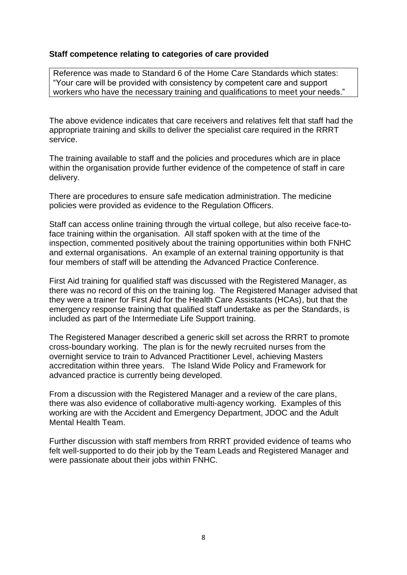### **Staff competence relating to categories of care provided**

Reference was made to Standard 6 of the Home Care Standards which states: "Your care will be provided with consistency by competent care and support workers who have the necessary training and qualifications to meet your needs."

The above evidence indicates that care receivers and relatives felt that staff had the appropriate training and skills to deliver the specialist care required in the RRRT service.

The training available to staff and the policies and procedures which are in place within the organisation provide further evidence of the competence of staff in care delivery.

There are procedures to ensure safe medication administration. The medicine policies were provided as evidence to the Regulation Officers.

Staff can access online training through the virtual college, but also receive face-toface training within the organisation. All staff spoken with at the time of the inspection, commented positively about the training opportunities within both FNHC and external organisations. An example of an external training opportunity is that four members of staff will be attending the Advanced Practice Conference.

First Aid training for qualified staff was discussed with the Registered Manager, as there was no record of this on the training log. The Registered Manager advised that they were a trainer for First Aid for the Health Care Assistants (HCAs), but that the emergency response training that qualified staff undertake as per the Standards, is included as part of the Intermediate Life Support training.

The Registered Manager described a generic skill set across the RRRT to promote cross-boundary working. The plan is for the newly recruited nurses from the overnight service to train to Advanced Practitioner Level, achieving Masters accreditation within three years. The Island Wide Policy and Framework for advanced practice is currently being developed.

From a discussion with the Registered Manager and a review of the care plans, there was also evidence of collaborative multi-agency working. Examples of this working are with the Accident and Emergency Department, JDOC and the Adult Mental Health Team.

Further discussion with staff members from RRRT provided evidence of teams who felt well-supported to do their job by the Team Leads and Registered Manager and were passionate about their jobs within FNHC.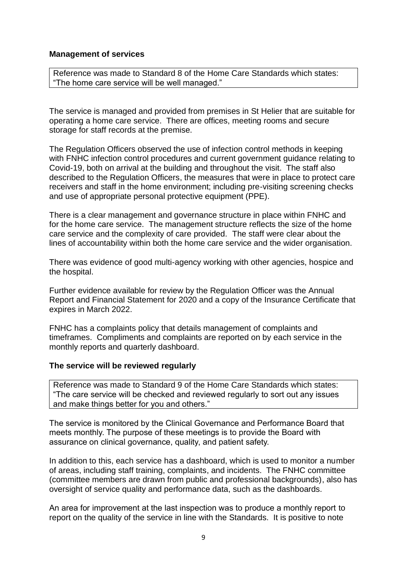#### **Management of services**

Reference was made to Standard 8 of the Home Care Standards which states: "The home care service will be well managed."

The service is managed and provided from premises in St Helier that are suitable for operating a home care service. There are offices, meeting rooms and secure storage for staff records at the premise.

The Regulation Officers observed the use of infection control methods in keeping with FNHC infection control procedures and current government guidance relating to Covid-19, both on arrival at the building and throughout the visit. The staff also described to the Regulation Officers, the measures that were in place to protect care receivers and staff in the home environment; including pre-visiting screening checks and use of appropriate personal protective equipment (PPE).

There is a clear management and governance structure in place within FNHC and for the home care service. The management structure reflects the size of the home care service and the complexity of care provided. The staff were clear about the lines of accountability within both the home care service and the wider organisation.

There was evidence of good multi-agency working with other agencies, hospice and the hospital.

Further evidence available for review by the Regulation Officer was the Annual Report and Financial Statement for 2020 and a copy of the Insurance Certificate that expires in March 2022.

FNHC has a complaints policy that details management of complaints and timeframes. Compliments and complaints are reported on by each service in the monthly reports and quarterly dashboard.

#### **The service will be reviewed regularly**

Reference was made to Standard 9 of the Home Care Standards which states: "The care service will be checked and reviewed regularly to sort out any issues and make things better for you and others."

The service is monitored by the Clinical Governance and Performance Board that meets monthly. The purpose of these meetings is to provide the Board with assurance on clinical governance, quality, and patient safety.

In addition to this, each service has a dashboard, which is used to monitor a number of areas, including staff training, complaints, and incidents. The FNHC committee (committee members are drawn from public and professional backgrounds), also has oversight of service quality and performance data, such as the dashboards.

An area for improvement at the last inspection was to produce a monthly report to report on the quality of the service in line with the Standards. It is positive to note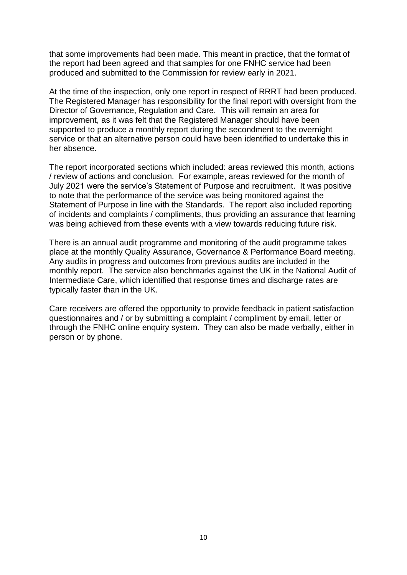that some improvements had been made. This meant in practice, that the format of the report had been agreed and that samples for one FNHC service had been produced and submitted to the Commission for review early in 2021.

At the time of the inspection, only one report in respect of RRRT had been produced. The Registered Manager has responsibility for the final report with oversight from the Director of Governance, Regulation and Care. This will remain an area for improvement, as it was felt that the Registered Manager should have been supported to produce a monthly report during the secondment to the overnight service or that an alternative person could have been identified to undertake this in her absence.

The report incorporated sections which included: areas reviewed this month, actions / review of actions and conclusion. For example, areas reviewed for the month of July 2021 were the service's Statement of Purpose and recruitment. It was positive to note that the performance of the service was being monitored against the Statement of Purpose in line with the Standards. The report also included reporting of incidents and complaints / compliments, thus providing an assurance that learning was being achieved from these events with a view towards reducing future risk.

There is an annual audit programme and monitoring of the audit programme takes place at the monthly Quality Assurance, Governance & Performance Board meeting. Any audits in progress and outcomes from previous audits are included in the monthly report. The service also benchmarks against the UK in the National Audit of Intermediate Care, which identified that response times and discharge rates are typically faster than in the UK.

Care receivers are offered the opportunity to provide feedback in patient satisfaction questionnaires and / or by submitting a complaint / compliment by email, letter or through the FNHC online enquiry system. They can also be made verbally, either in person or by phone.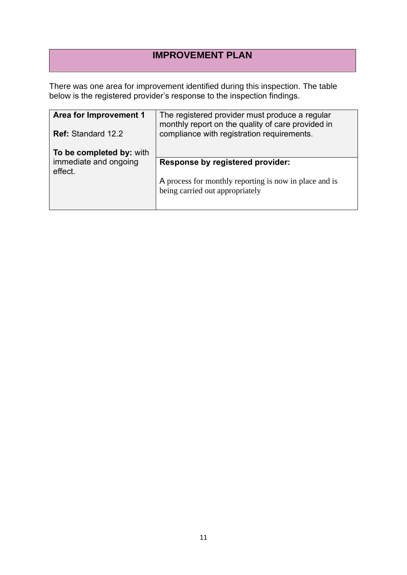## **IMPROVEMENT PLAN**

There was one area for improvement identified during this inspection. The table below is the registered provider's response to the inspection findings.

| Area for Improvement 1           | The registered provider must produce a regular<br>monthly report on the quality of care provided in |
|----------------------------------|-----------------------------------------------------------------------------------------------------|
| <b>Ref: Standard 12.2</b>        | compliance with registration requirements.                                                          |
| To be completed by: with         |                                                                                                     |
| immediate and ongoing<br>effect. | <b>Response by registered provider:</b>                                                             |
|                                  | A process for monthly reporting is now in place and is<br>being carried out appropriately           |
|                                  |                                                                                                     |